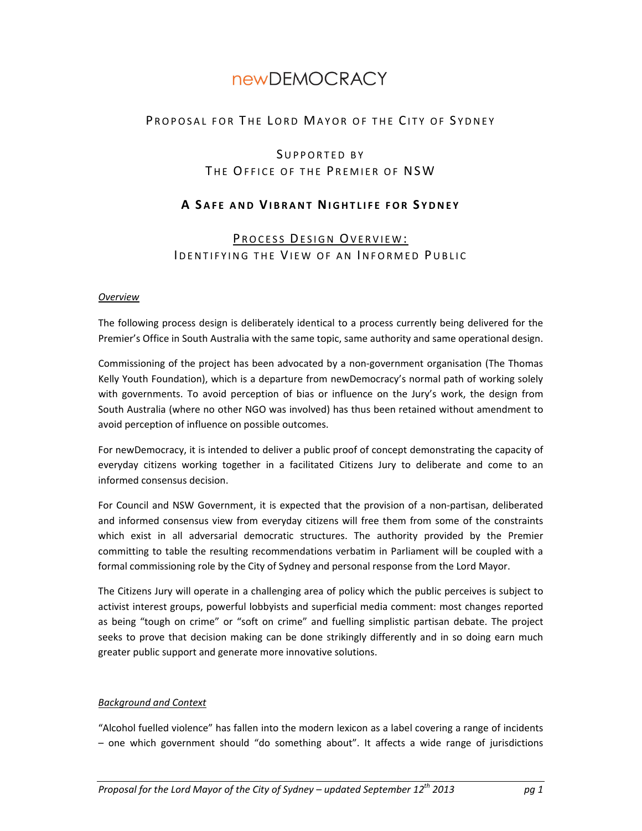# newDEMOCRACY

# PROPOSAL FOR THE LORD MAYOR OF THE CITY OF SYDNEY

# SUPPORTED BY THE OFFICE OF THE PREMIER OF NSW

# **A S AFE AND VIBRANT NIGHTLIFE FOR S YDNEY**

# PROCESS DESIGN OVERVIEW: IDENTIFYING THE VIEW OF AN INFORMED PUBLIC

#### *Overview*

The following process design is deliberately identical to a process currently being delivered for the Premier's Office in South Australia with the same topic, same authority and same operational design.

Commissioning of the project has been advocated by a non-government organisation (The Thomas Kelly Youth Foundation), which is a departure from newDemocracy's normal path of working solely with governments. To avoid perception of bias or influence on the Jury's work, the design from South Australia (where no other NGO was involved) has thus been retained without amendment to avoid perception of influence on possible outcomes.

For newDemocracy, it is intended to deliver a public proof of concept demonstrating the capacity of everyday citizens working together in a facilitated Citizens Jury to deliberate and come to an informed consensus decision.

For Council and NSW Government, it is expected that the provision of a non-partisan, deliberated and informed consensus view from everyday citizens will free them from some of the constraints which exist in all adversarial democratic structures. The authority provided by the Premier committing to table the resulting recommendations verbatim in Parliament will be coupled with a formal commissioning role by the City of Sydney and personal response from the Lord Mayor.

The Citizens Jury will operate in a challenging area of policy which the public perceives is subject to activist interest groups, powerful lobbyists and superficial media comment: most changes reported as being "tough on crime" or "soft on crime" and fuelling simplistic partisan debate. The project seeks to prove that decision making can be done strikingly differently and in so doing earn much greater public support and generate more innovative solutions.

#### *Background and Context*

"Alcohol fuelled violence" has fallen into the modern lexicon as a label covering a range of incidents – one which government should "do something about". It affects a wide range of jurisdictions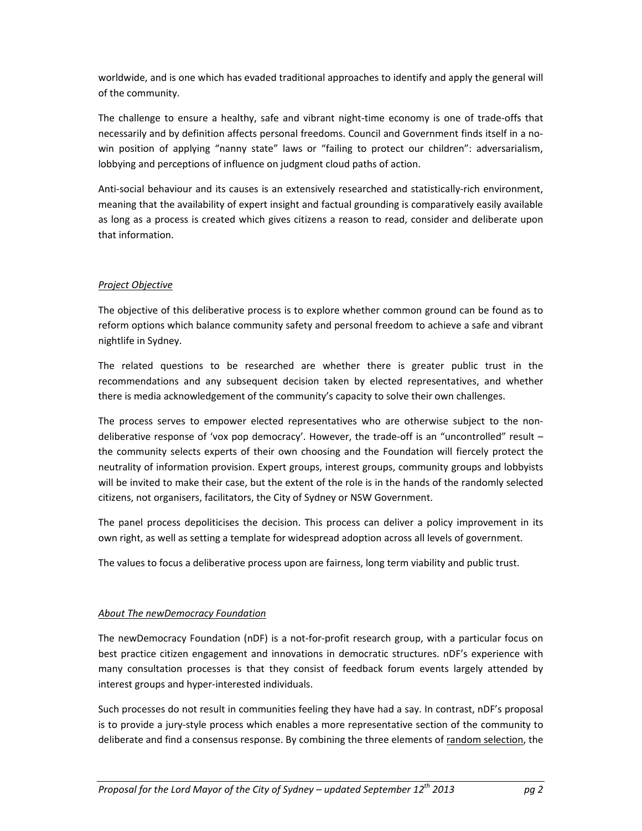worldwide, and is one which has evaded traditional approaches to identify and apply the general will of the community.

The challenge to ensure a healthy, safe and vibrant night-time economy is one of trade-offs that necessarily and by definition affects personal freedoms. Council and Government finds itself in a nowin position of applying "nanny state" laws or "failing to protect our children": adversarialism, lobbying and perceptions of influence on judgment cloud paths of action.

Anti-social behaviour and its causes is an extensively researched and statistically-rich environment, meaning that the availability of expert insight and factual grounding is comparatively easily available as long as a process is created which gives citizens a reason to read, consider and deliberate upon that information.

## *Project Objective*

The objective of this deliberative process is to explore whether common ground can be found as to reform options which balance community safety and personal freedom to achieve a safe and vibrant nightlife in Sydney.

The related questions to be researched are whether there is greater public trust in the recommendations and any subsequent decision taken by elected representatives, and whether there is media acknowledgement of the community's capacity to solve their own challenges.

The process serves to empower elected representatives who are otherwise subject to the nondeliberative response of 'vox pop democracy'. However, the trade-off is an "uncontrolled" result – the community selects experts of their own choosing and the Foundation will fiercely protect the neutrality of information provision. Expert groups, interest groups, community groups and lobbyists will be invited to make their case, but the extent of the role is in the hands of the randomly selected citizens, not organisers, facilitators, the City of Sydney or NSW Government.

The panel process depoliticises the decision. This process can deliver a policy improvement in its own right, as well as setting a template for widespread adoption across all levels of government.

The values to focus a deliberative process upon are fairness, long term viability and public trust.

#### *About The newDemocracy Foundation*

The newDemocracy Foundation (nDF) is a not-for-profit research group, with a particular focus on best practice citizen engagement and innovations in democratic structures. nDF's experience with many consultation processes is that they consist of feedback forum events largely attended by interest groups and hyper-interested individuals.

Such processes do not result in communities feeling they have had a say. In contrast, nDF's proposal is to provide a jury-style process which enables a more representative section of the community to deliberate and find a consensus response. By combining the three elements of random selection, the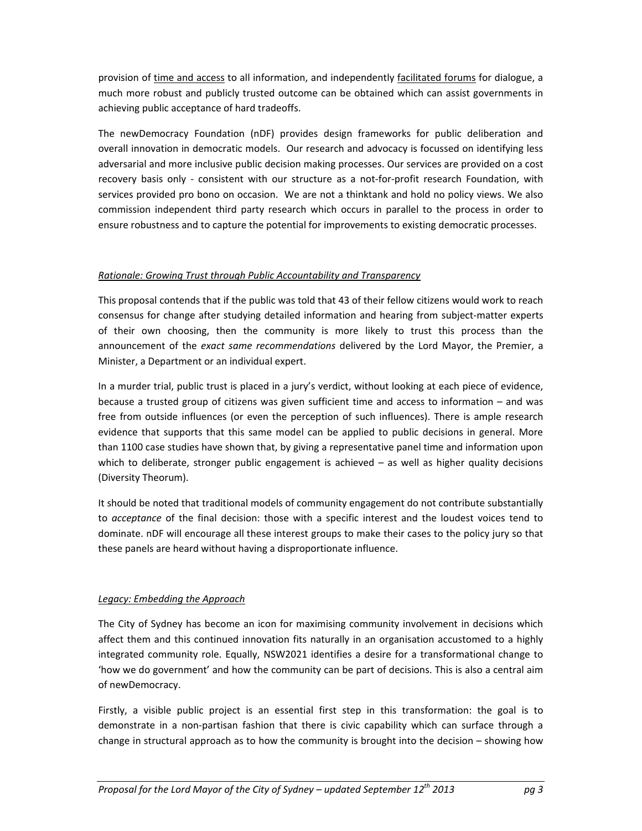provision of time and access to all information, and independently facilitated forums for dialogue, a much more robust and publicly trusted outcome can be obtained which can assist governments in achieving public acceptance of hard tradeoffs.

The newDemocracy Foundation (nDF) provides design frameworks for public deliberation and overall innovation in democratic models. Our research and advocacy is focussed on identifying less adversarial and more inclusive public decision making processes. Our services are provided on a cost recovery basis only - consistent with our structure as a not-for-profit research Foundation, with services provided pro bono on occasion. We are not a thinktank and hold no policy views. We also commission independent third party research which occurs in parallel to the process in order to ensure robustness and to capture the potential for improvements to existing democratic processes.

## *Rationale: Growing Trust through Public Accountability and Transparency*

This proposal contends that if the public was told that 43 of their fellow citizens would work to reach consensus for change after studying detailed information and hearing from subject-matter experts of their own choosing, then the community is more likely to trust this process than the announcement of the *exact same recommendations* delivered by the Lord Mayor, the Premier, a Minister, a Department or an individual expert.

In a murder trial, public trust is placed in a jury's verdict, without looking at each piece of evidence, because a trusted group of citizens was given sufficient time and access to information – and was free from outside influences (or even the perception of such influences). There is ample research evidence that supports that this same model can be applied to public decisions in general. More than 1100 case studies have shown that, by giving a representative panel time and information upon which to deliberate, stronger public engagement is achieved  $-$  as well as higher quality decisions (Diversity Theorum).

It should be noted that traditional models of community engagement do not contribute substantially to *acceptance* of the final decision: those with a specific interest and the loudest voices tend to dominate. nDF will encourage all these interest groups to make their cases to the policy jury so that these panels are heard without having a disproportionate influence.

## *Legacy: Embedding the Approach*

The City of Sydney has become an icon for maximising community involvement in decisions which affect them and this continued innovation fits naturally in an organisation accustomed to a highly integrated community role. Equally, NSW2021 identifies a desire for a transformational change to 'how we do government' and how the community can be part of decisions. This is also a central aim of newDemocracy.

Firstly, a visible public project is an essential first step in this transformation: the goal is to demonstrate in a non-partisan fashion that there is civic capability which can surface through a change in structural approach as to how the community is brought into the decision – showing how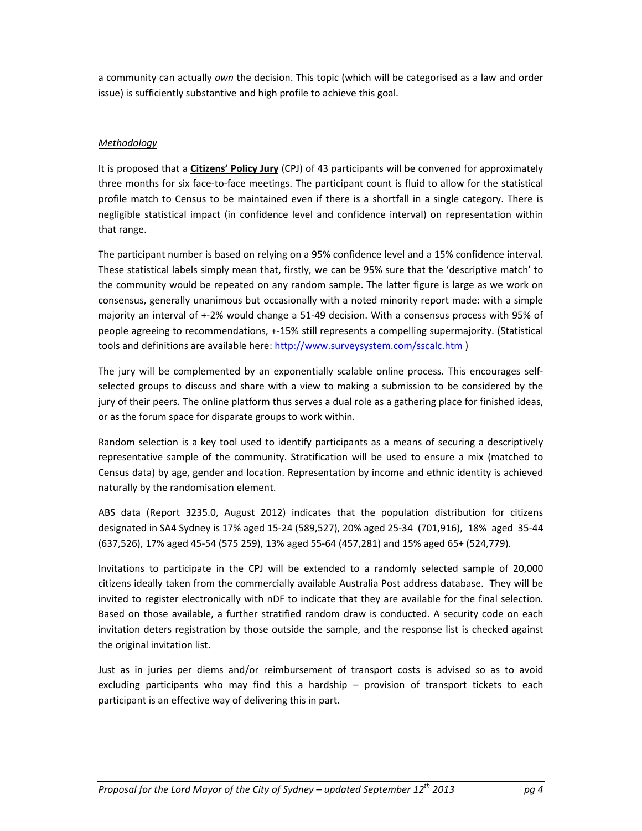a community can actually *own* the decision. This topic (which will be categorised as a law and order issue) is sufficiently substantive and high profile to achieve this goal.

## *Methodology*

It is proposed that a **Citizens' Policy Jury** (CPJ) of 43 participants will be convened for approximately three months for six face-to-face meetings. The participant count is fluid to allow for the statistical profile match to Census to be maintained even if there is a shortfall in a single category. There is negligible statistical impact (in confidence level and confidence interval) on representation within that range.

The participant number is based on relying on a 95% confidence level and a 15% confidence interval. These statistical labels simply mean that, firstly, we can be 95% sure that the 'descriptive match' to the community would be repeated on any random sample. The latter figure is large as we work on consensus, generally unanimous but occasionally with a noted minority report made: with a simple majority an interval of +-2% would change a 51-49 decision. With a consensus process with 95% of people agreeing to recommendations, +-15% still represents a compelling supermajority. (Statistical tools and definitions are available here: http://www.surveysystem.com/sscalc.htm )

The jury will be complemented by an exponentially scalable online process. This encourages selfselected groups to discuss and share with a view to making a submission to be considered by the jury of their peers. The online platform thus serves a dual role as a gathering place for finished ideas, or as the forum space for disparate groups to work within.

Random selection is a key tool used to identify participants as a means of securing a descriptively representative sample of the community. Stratification will be used to ensure a mix (matched to Census data) by age, gender and location. Representation by income and ethnic identity is achieved naturally by the randomisation element.

ABS data (Report 3235.0, August 2012) indicates that the population distribution for citizens designated in SA4 Sydney is 17% aged 15-24 (589,527), 20% aged 25-34 (701,916), 18% aged 35-44 (637,526), 17% aged 45-54 (575 259), 13% aged 55-64 (457,281) and 15% aged 65+ (524,779).

Invitations to participate in the CPJ will be extended to a randomly selected sample of 20,000 citizens ideally taken from the commercially available Australia Post address database. They will be invited to register electronically with nDF to indicate that they are available for the final selection. Based on those available, a further stratified random draw is conducted. A security code on each invitation deters registration by those outside the sample, and the response list is checked against the original invitation list.

Just as in juries per diems and/or reimbursement of transport costs is advised so as to avoid excluding participants who may find this a hardship – provision of transport tickets to each participant is an effective way of delivering this in part.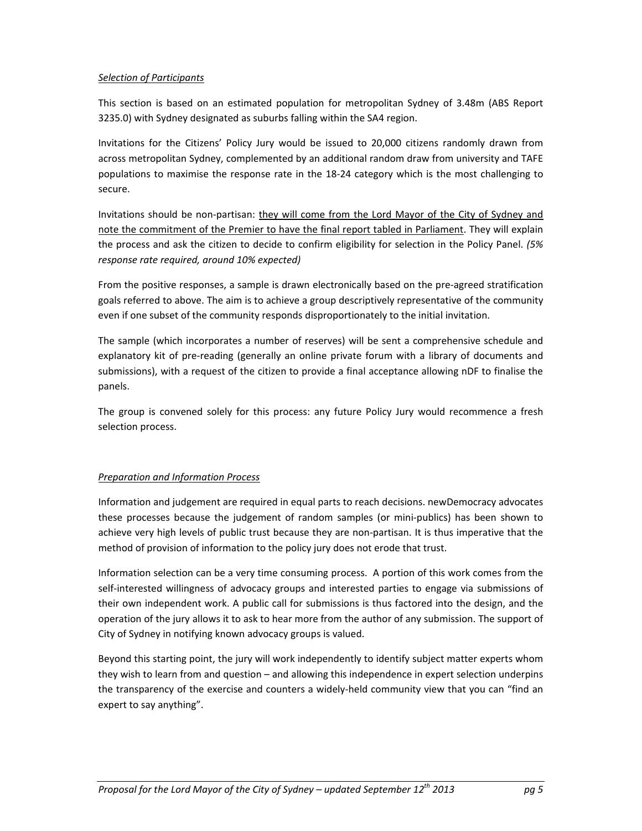#### *Selection of Participants*

This section is based on an estimated population for metropolitan Sydney of 3.48m (ABS Report 3235.0) with Sydney designated as suburbs falling within the SA4 region.

Invitations for the Citizens' Policy Jury would be issued to 20,000 citizens randomly drawn from across metropolitan Sydney, complemented by an additional random draw from university and TAFE populations to maximise the response rate in the 18-24 category which is the most challenging to secure.

Invitations should be non-partisan: they will come from the Lord Mayor of the City of Sydney and note the commitment of the Premier to have the final report tabled in Parliament. They will explain the process and ask the citizen to decide to confirm eligibility for selection in the Policy Panel. *(5% response rate required, around 10% expected)*

From the positive responses, a sample is drawn electronically based on the pre-agreed stratification goals referred to above. The aim is to achieve a group descriptively representative of the community even if one subset of the community responds disproportionately to the initial invitation.

The sample (which incorporates a number of reserves) will be sent a comprehensive schedule and explanatory kit of pre-reading (generally an online private forum with a library of documents and submissions), with a request of the citizen to provide a final acceptance allowing nDF to finalise the panels.

The group is convened solely for this process: any future Policy Jury would recommence a fresh selection process.

## *Preparation and Information Process*

Information and judgement are required in equal parts to reach decisions. newDemocracy advocates these processes because the judgement of random samples (or mini-publics) has been shown to achieve very high levels of public trust because they are non-partisan. It is thus imperative that the method of provision of information to the policy jury does not erode that trust.

Information selection can be a very time consuming process. A portion of this work comes from the self-interested willingness of advocacy groups and interested parties to engage via submissions of their own independent work. A public call for submissions is thus factored into the design, and the operation of the jury allows it to ask to hear more from the author of any submission. The support of City of Sydney in notifying known advocacy groups is valued.

Beyond this starting point, the jury will work independently to identify subject matter experts whom they wish to learn from and question – and allowing this independence in expert selection underpins the transparency of the exercise and counters a widely-held community view that you can "find an expert to say anything".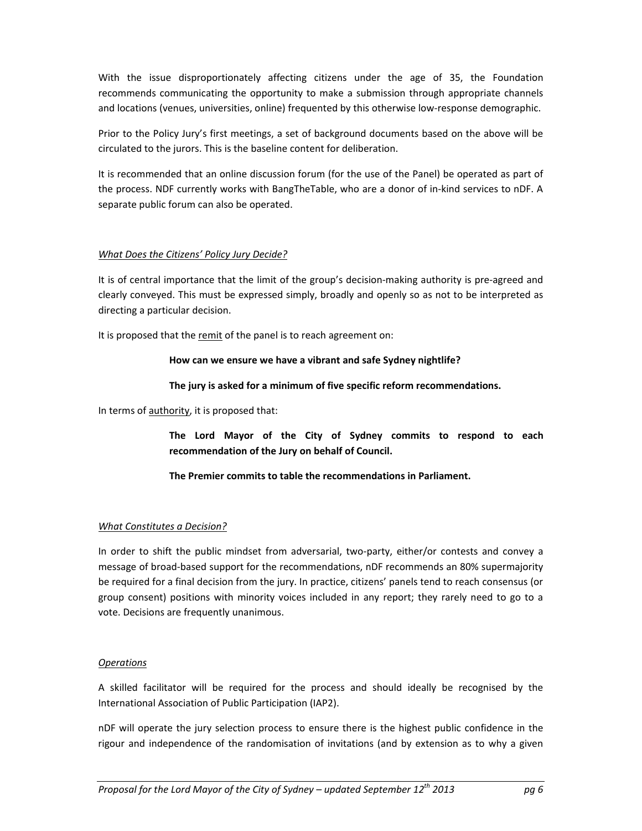With the issue disproportionately affecting citizens under the age of 35, the Foundation recommends communicating the opportunity to make a submission through appropriate channels and locations (venues, universities, online) frequented by this otherwise low-response demographic.

Prior to the Policy Jury's first meetings, a set of background documents based on the above will be circulated to the jurors. This is the baseline content for deliberation.

It is recommended that an online discussion forum (for the use of the Panel) be operated as part of the process. NDF currently works with BangTheTable, who are a donor of in-kind services to nDF. A separate public forum can also be operated.

#### *What Does the Citizens' Policy Jury Decide?*

It is of central importance that the limit of the group's decision-making authority is pre-agreed and clearly conveyed. This must be expressed simply, broadly and openly so as not to be interpreted as directing a particular decision.

It is proposed that the remit of the panel is to reach agreement on:

#### **How can we ensure we have a vibrant and safe Sydney nightlife?**

#### **The jury is asked for a minimum of five specific reform recommendations.**

In terms of authority, it is proposed that:

**The Lord Mayor of the City of Sydney commits to respond to each recommendation of the Jury on behalf of Council.** 

**The Premier commits to table the recommendations in Parliament.** 

#### *What Constitutes a Decision?*

In order to shift the public mindset from adversarial, two-party, either/or contests and convey a message of broad-based support for the recommendations, nDF recommends an 80% supermajority be required for a final decision from the jury. In practice, citizens' panels tend to reach consensus (or group consent) positions with minority voices included in any report; they rarely need to go to a vote. Decisions are frequently unanimous.

#### *Operations*

A skilled facilitator will be required for the process and should ideally be recognised by the International Association of Public Participation (IAP2).

nDF will operate the jury selection process to ensure there is the highest public confidence in the rigour and independence of the randomisation of invitations (and by extension as to why a given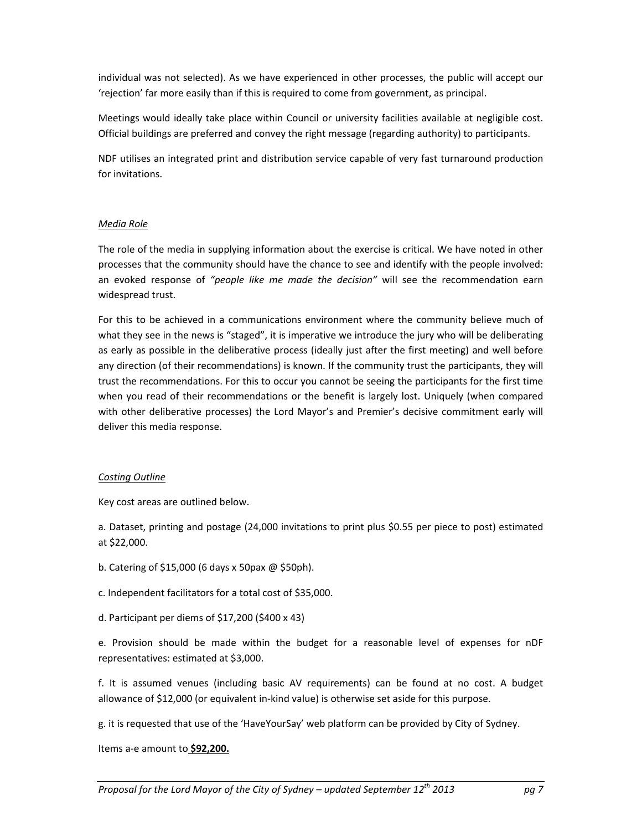individual was not selected). As we have experienced in other processes, the public will accept our 'rejection' far more easily than if this is required to come from government, as principal.

Meetings would ideally take place within Council or university facilities available at negligible cost. Official buildings are preferred and convey the right message (regarding authority) to participants.

NDF utilises an integrated print and distribution service capable of very fast turnaround production for invitations.

#### *Media Role*

The role of the media in supplying information about the exercise is critical. We have noted in other processes that the community should have the chance to see and identify with the people involved: an evoked response of *"people like me made the decision"* will see the recommendation earn widespread trust.

For this to be achieved in a communications environment where the community believe much of what they see in the news is "staged", it is imperative we introduce the jury who will be deliberating as early as possible in the deliberative process (ideally just after the first meeting) and well before any direction (of their recommendations) is known. If the community trust the participants, they will trust the recommendations. For this to occur you cannot be seeing the participants for the first time when you read of their recommendations or the benefit is largely lost. Uniquely (when compared with other deliberative processes) the Lord Mayor's and Premier's decisive commitment early will deliver this media response.

#### *Costing Outline*

Key cost areas are outlined below.

a. Dataset, printing and postage (24,000 invitations to print plus \$0.55 per piece to post) estimated at \$22,000.

- b. Catering of \$15,000 (6 days x 50pax @ \$50ph).
- c. Independent facilitators for a total cost of \$35,000.
- d. Participant per diems of \$17,200 (\$400 x 43)

e. Provision should be made within the budget for a reasonable level of expenses for nDF representatives: estimated at \$3,000.

f. It is assumed venues (including basic AV requirements) can be found at no cost. A budget allowance of \$12,000 (or equivalent in-kind value) is otherwise set aside for this purpose.

g. it is requested that use of the 'HaveYourSay' web platform can be provided by City of Sydney.

Items a-e amount to **\$92,200.**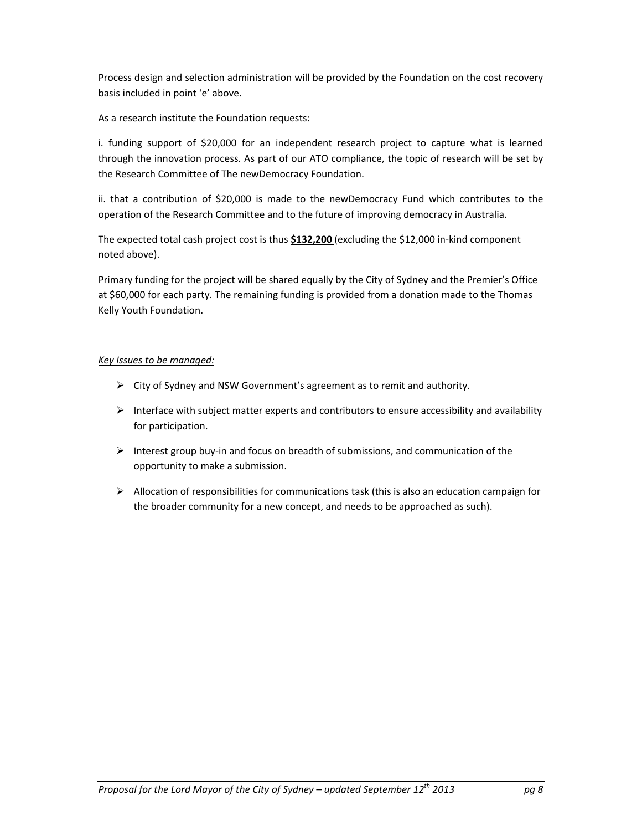Process design and selection administration will be provided by the Foundation on the cost recovery basis included in point 'e' above.

As a research institute the Foundation requests:

i. funding support of \$20,000 for an independent research project to capture what is learned through the innovation process. As part of our ATO compliance, the topic of research will be set by the Research Committee of The newDemocracy Foundation.

ii. that a contribution of \$20,000 is made to the newDemocracy Fund which contributes to the operation of the Research Committee and to the future of improving democracy in Australia.

The expected total cash project cost is thus **\$132,200** (excluding the \$12,000 in-kind component noted above).

Primary funding for the project will be shared equally by the City of Sydney and the Premier's Office at \$60,000 for each party. The remaining funding is provided from a donation made to the Thomas Kelly Youth Foundation.

## *Key Issues to be managed:*

- $\triangleright$  City of Sydney and NSW Government's agreement as to remit and authority.
- $\triangleright$  Interface with subject matter experts and contributors to ensure accessibility and availability for participation.
- $\triangleright$  Interest group buy-in and focus on breadth of submissions, and communication of the opportunity to make a submission.
- $\triangleright$  Allocation of responsibilities for communications task (this is also an education campaign for the broader community for a new concept, and needs to be approached as such).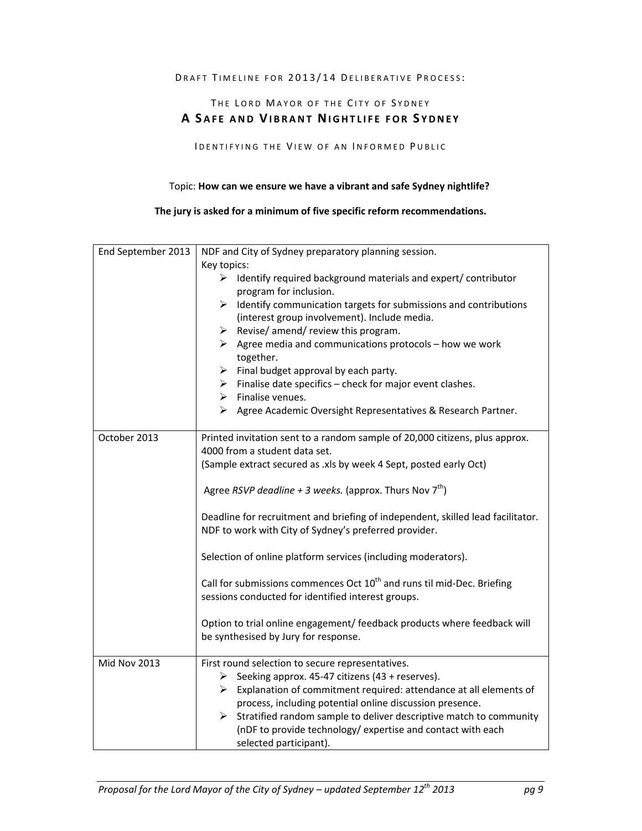#### DRAFT TIMELINE FOR 2013/14 DELIBERATIVE PROCESS:

# THE LORD MAYOR OF THE CITY OF SYDNEY **A S AFE AND VIBRANT NIGHTLIFE FOR S YDNEY**

IDENTIFYING THE VIEW OF AN INFORMED PUBLIC

#### Topic: **How can we ensure we have a vibrant and safe Sydney nightlife?**

#### **The jury is asked for a minimum of five specific reform recommendations.**

| End September 2013  | NDF and City of Sydney preparatory planning session.                                                                                     |
|---------------------|------------------------------------------------------------------------------------------------------------------------------------------|
|                     | Key topics:                                                                                                                              |
|                     | ➤<br>Identify required background materials and expert/contributor<br>program for inclusion.                                             |
|                     | Identify communication targets for submissions and contributions<br>≻                                                                    |
|                     | (interest group involvement). Include media.                                                                                             |
|                     | Revise/ amend/ review this program.<br>➤                                                                                                 |
|                     | $\triangleright$ Agree media and communications protocols – how we work                                                                  |
|                     | together.                                                                                                                                |
|                     | $\triangleright$ Final budget approval by each party.                                                                                    |
|                     | $\triangleright$ Finalise date specifics – check for major event clashes.                                                                |
|                     | $\triangleright$ Finalise venues.                                                                                                        |
|                     | > Agree Academic Oversight Representatives & Research Partner.                                                                           |
| October 2013        | Printed invitation sent to a random sample of 20,000 citizens, plus approx.                                                              |
|                     | 4000 from a student data set.                                                                                                            |
|                     | (Sample extract secured as .xls by week 4 Sept, posted early Oct)                                                                        |
|                     | Agree RSVP deadline + 3 weeks. (approx. Thurs Nov $7^{th}$ )                                                                             |
|                     | Deadline for recruitment and briefing of independent, skilled lead facilitator.<br>NDF to work with City of Sydney's preferred provider. |
|                     | Selection of online platform services (including moderators).                                                                            |
|                     | Call for submissions commences Oct 10 <sup>th</sup> and runs til mid-Dec. Briefing<br>sessions conducted for identified interest groups. |
|                     | Option to trial online engagement/ feedback products where feedback will<br>be synthesised by Jury for response.                         |
| <b>Mid Nov 2013</b> | First round selection to secure representatives.                                                                                         |
|                     | > Seeking approx. 45-47 citizens (43 + reserves).                                                                                        |
|                     | $\triangleright$ Explanation of commitment required: attendance at all elements of                                                       |
|                     | process, including potential online discussion presence.                                                                                 |
|                     | $\triangleright$ Stratified random sample to deliver descriptive match to community                                                      |
|                     | (nDF to provide technology/ expertise and contact with each                                                                              |
|                     | selected participant).                                                                                                                   |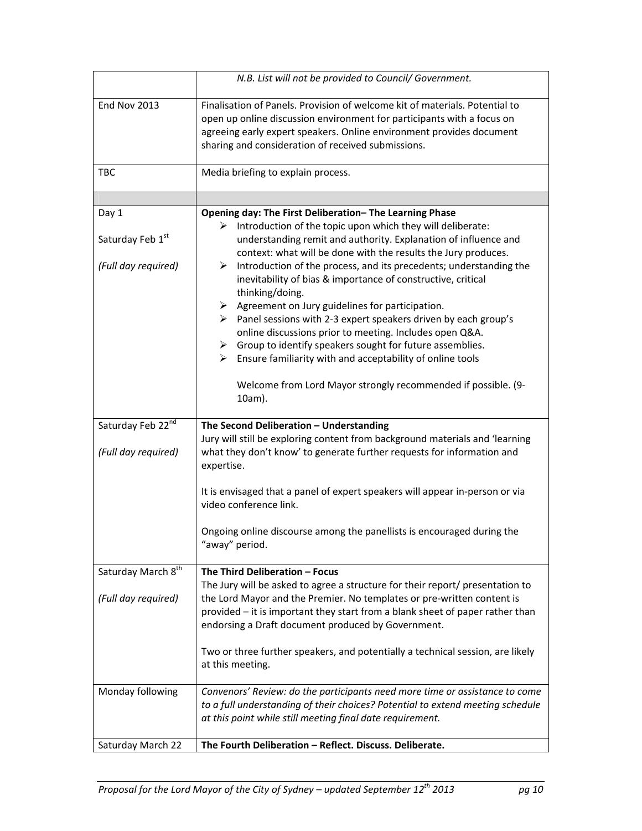|                                | N.B. List will not be provided to Council/ Government.                                                                                                                                                                                                                                                                                                                    |
|--------------------------------|---------------------------------------------------------------------------------------------------------------------------------------------------------------------------------------------------------------------------------------------------------------------------------------------------------------------------------------------------------------------------|
| <b>End Nov 2013</b>            | Finalisation of Panels. Provision of welcome kit of materials. Potential to<br>open up online discussion environment for participants with a focus on<br>agreeing early expert speakers. Online environment provides document<br>sharing and consideration of received submissions.                                                                                       |
| <b>TBC</b>                     | Media briefing to explain process.                                                                                                                                                                                                                                                                                                                                        |
|                                |                                                                                                                                                                                                                                                                                                                                                                           |
| Day 1                          | Opening day: The First Deliberation-The Learning Phase                                                                                                                                                                                                                                                                                                                    |
| Saturday Feb 1st               | Introduction of the topic upon which they will deliberate:<br>➤<br>understanding remit and authority. Explanation of influence and<br>context: what will be done with the results the Jury produces.                                                                                                                                                                      |
| (Full day required)            | Introduction of the process, and its precedents; understanding the<br>➤<br>inevitability of bias & importance of constructive, critical<br>thinking/doing.                                                                                                                                                                                                                |
|                                | $\triangleright$ Agreement on Jury guidelines for participation.<br>$\triangleright$ Panel sessions with 2-3 expert speakers driven by each group's<br>online discussions prior to meeting. Includes open Q&A.<br>$\triangleright$ Group to identify speakers sought for future assemblies.<br>$\triangleright$ Ensure familiarity with and acceptability of online tools |
|                                | Welcome from Lord Mayor strongly recommended if possible. (9-<br>10am).                                                                                                                                                                                                                                                                                                   |
| Saturday Feb 22nd              | The Second Deliberation - Understanding                                                                                                                                                                                                                                                                                                                                   |
| (Full day required)            | Jury will still be exploring content from background materials and 'learning<br>what they don't know' to generate further requests for information and<br>expertise.                                                                                                                                                                                                      |
|                                | It is envisaged that a panel of expert speakers will appear in-person or via<br>video conference link.                                                                                                                                                                                                                                                                    |
|                                | Ongoing online discourse among the panellists is encouraged during the<br>"away" period.                                                                                                                                                                                                                                                                                  |
| Saturday March 8 <sup>th</sup> | The Third Deliberation - Focus<br>The Jury will be asked to agree a structure for their report/ presentation to                                                                                                                                                                                                                                                           |
| (Full day required)            | the Lord Mayor and the Premier. No templates or pre-written content is<br>provided - it is important they start from a blank sheet of paper rather than<br>endorsing a Draft document produced by Government.                                                                                                                                                             |
|                                | Two or three further speakers, and potentially a technical session, are likely<br>at this meeting.                                                                                                                                                                                                                                                                        |
| Monday following               | Convenors' Review: do the participants need more time or assistance to come<br>to a full understanding of their choices? Potential to extend meeting schedule<br>at this point while still meeting final date requirement.                                                                                                                                                |
| Saturday March 22              | The Fourth Deliberation - Reflect. Discuss. Deliberate.                                                                                                                                                                                                                                                                                                                   |